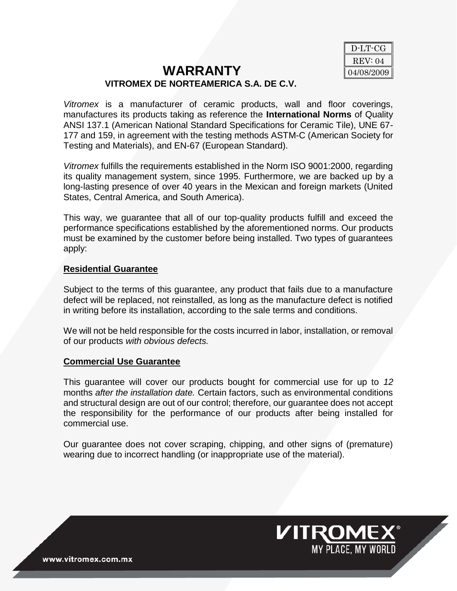## **WARRANTY VITROMEX DE NORTEAMERICA S.A. DE C.V.**



**VITROMEX** 

*Vitromex* is a manufacturer of ceramic products, wall and floor coverings, manufactures its products taking as reference the **International Norms** of Quality ANSI 137.1 (American National Standard Specifications for Ceramic Tile), UNE 67- 177 and 159, in agreement with the testing methods ASTM-C (American Society for Testing and Materials), and EN-67 (European Standard).

*Vitromex* fulfills the requirements established in the Norm ISO 9001:2000, regarding its quality management system, since 1995. Furthermore, we are backed up by a long-lasting presence of over 40 years in the Mexican and foreign markets (United States, Central America, and South America).

This way, we guarantee that all of our top-quality products fulfill and exceed the performance specifications established by the aforementioned norms. Our products must be examined by the customer before being installed. Two types of guarantees apply:

## **Residential Guarantee**

Subject to the terms of this guarantee, any product that fails due to a manufacture defect will be replaced, not reinstalled, as long as the manufacture defect is notified in writing before its installation, according to the sale terms and conditions.

We will not be held responsible for the costs incurred in labor, installation, or removal of our products *with obvious defects.*

## **Commercial Use Guarantee**

This guarantee will cover our products bought for commercial use for up to *12*  months *after the installation date.* Certain factors, such as environmental conditions and structural design are out of our control; therefore, our guarantee does not accept the responsibility for the performance of our products after being installed for commercial use.

Our guarantee does not cover scraping, chipping, and other signs of (premature) wearing due to incorrect handling (or inappropriate use of the material).

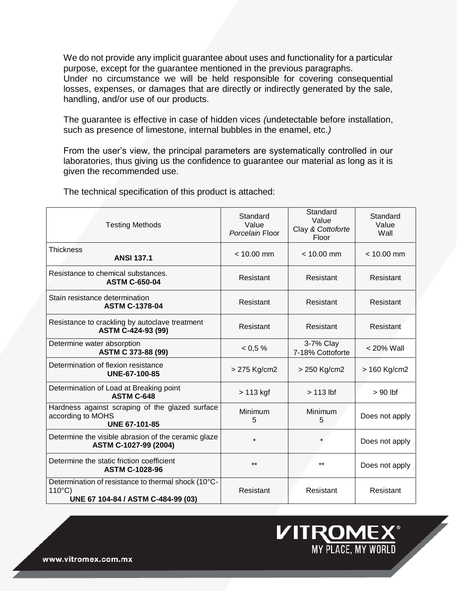We do not provide any implicit guarantee about uses and functionality for a particular purpose, except for the guarantee mentioned in the previous paragraphs. Under no circumstance we will be held responsible for covering consequential losses, expenses, or damages that are directly or indirectly generated by the sale, handling, and/or use of our products.

The guarantee is effective in case of hidden vices *(*undetectable before installation, such as presence of limestone, internal bubbles in the enamel, etc.*)*

From the user's view, the principal parameters are systematically controlled in our laboratories, thus giving us the confidence to guarantee our material as long as it is given the recommended use.

| <b>Testing Methods</b>                                                                                        | Standard<br>Value<br>Porcelain Floor | Standard<br>Value<br>Clay & Cottoforte<br>Floor | Standard<br>Value<br>Wall |
|---------------------------------------------------------------------------------------------------------------|--------------------------------------|-------------------------------------------------|---------------------------|
| <b>Thickness</b><br><b>ANSI 137.1</b>                                                                         | $< 10.00$ mm                         | $< 10.00$ mm                                    | $< 10.00$ mm              |
| Resistance to chemical substances.<br><b>ASTM C-650-04</b>                                                    | Resistant                            | Resistant                                       | Resistant                 |
| Stain resistance determination<br><b>ASTM C-1378-04</b>                                                       | Resistant                            | Resistant                                       | Resistant                 |
| Resistance to crackling by autoclave treatment<br>ASTM C-424-93 (99)                                          | Resistant                            | Resistant                                       | Resistant                 |
| Determine water absorption<br>ASTM C 373-88 (99)                                                              | < 0.5 %                              | 3-7% Clay<br>7-18% Cottoforte                   | $< 20\%$ Wall             |
| Determination of flexion resistance<br>UNE-67-100-85                                                          | > 275 Kg/cm2                         | > 250 Kg/cm2                                    | > 160 Kg/cm2              |
| Determination of Load at Breaking point<br><b>ASTM C-648</b>                                                  | $>113$ kgf                           | $> 113$ lbf                                     | $> 90$ lbf                |
| Hardness against scraping of the glazed surface<br>according to MOHS<br><b>UNE 67-101-85</b>                  | Minimum<br>5                         | <b>Minimum</b><br>5                             | Does not apply            |
| Determine the visible abrasion of the ceramic glaze<br>ASTM C-1027-99 (2004)                                  | $\star$                              |                                                 | Does not apply            |
| Determine the static friction coefficient<br><b>ASTM C-1028-96</b>                                            | $***$                                | $***$                                           | Does not apply            |
| Determination of resistance to thermal shock (10°C-<br>$110^{\circ}$ C)<br>UNE 67 104-84 / ASTM C-484-99 (03) | Resistant                            | Resistant                                       | Resistant                 |

The technical specification of this product is attached:



www.vitromex.com.mx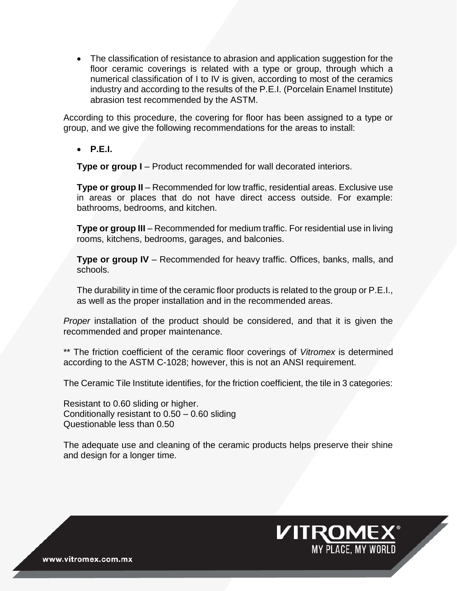The classification of resistance to abrasion and application suggestion for the floor ceramic coverings is related with a type or group, through which a numerical classification of I to IV is given, according to most of the ceramics industry and according to the results of the P.E.I. (Porcelain Enamel Institute) abrasion test recommended by the ASTM.

According to this procedure, the covering for floor has been assigned to a type or group, and we give the following recommendations for the areas to install:

**P.E.I.**

**Type or group I** – Product recommended for wall decorated interiors.

**Type or group II** – Recommended for low traffic, residential areas. Exclusive use in areas or places that do not have direct access outside. For example: bathrooms, bedrooms, and kitchen.

**Type or group III** – Recommended for medium traffic. For residential use in living rooms, kitchens, bedrooms, garages, and balconies.

**Type or group IV** – Recommended for heavy traffic. Offices, banks, malls, and schools.

The durability in time of the ceramic floor products is related to the group or P.E.I., as well as the proper installation and in the recommended areas.

*Proper* installation of the product should be considered, and that it is given the recommended and proper maintenance.

\*\* The friction coefficient of the ceramic floor coverings of *Vitromex* is determined according to the ASTM C-1028; however, this is not an ANSI requirement.

The Ceramic Tile Institute identifies, for the friction coefficient, the tile in 3 categories:

Resistant to 0.60 sliding or higher. Conditionally resistant to 0.50 – 0.60 sliding Questionable less than 0.50

The adequate use and cleaning of the ceramic products helps preserve their shine and design for a longer time.

**VITROMEX®** 

MY PLACE, MY WORLD